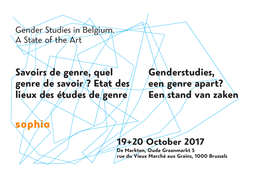

# **Genderstudies, een genre apart? Savoirs de genre, quel genre de savoir ? Etat des lieux des études de genre**

# Gender Studies in Belgium. A State of the Art

# **19+20 October 2017**

**De Markten, Oude Graanmarkt 5 rue du Vieux Marché aux Grains, 1000 Brussels**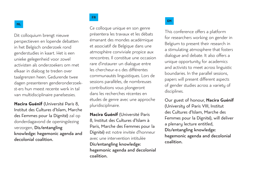Dit colloquium brengt nieuwe perspectieven en lopende debatten in het Belgisch onderzoek rond genderstudies in kaart. Het is een unieke gelegenheid voor zowel activisten als onderzoekers om met elkaar in dialoog te treden over taalgrenzen heen. Gedurende twee dagen presenteren genderonderzoekst-ers hun meest recente werk in tal van multidisciplinaire panelsessies.

**Nacira Guénif** (Université Paris 8, Institut des Cultures d'Islam, Marche des Femmes pour la Dignité) zal op donderdagavond de openingslezing verzorgen, Dis/entangling knowledge: hegemonic agenda and decolonial coalition.

Ce colloque unique en son genre présentera les travaux et les débats émanant des mondes académique et associatif de Belgique dans une atmosphère conviviale propice aux rencontres. Il constitue une occasion rare d'instaurer un dialogue entre les chercheur-e-s des différentes communautés linguistiques. Lors de sessions parallèles, de nombreuses contributions vous plongeront dans les recherches récentes en études de genre avec une approche pluridisciplinaire.

**Nacira Guénif** (Université Paris 8, Institut des Cultures d'Islam à Paris, Marche des Femmes pour la Dignité) est notre invitée d'honneur avec une intervention intitulée Dis/entangling knowledge: hegemonic agenda and decolonial coalition.

This conference offers a platform for researchers working on gender in Belgium to present their research in a stimulating atmosphere that fosters dialogue and debate. It also offers a unique opportunity for academics and activists to meet across linguistic boundaries. In the parallel sessions, papers will present different aspects of gender studies across a variety of disciplines.

Our guest of honour, **Nacira Guénif** (University of Paris VIII, Institut des Cultures d'Islam, Marche des Femmes pour la Dignité), will deliver a plenary lecture entitled, Dis/entangling knowledge: hegemonic agenda and decolonial coalition.

#### **EN**

#### **NL**

#### **FR**